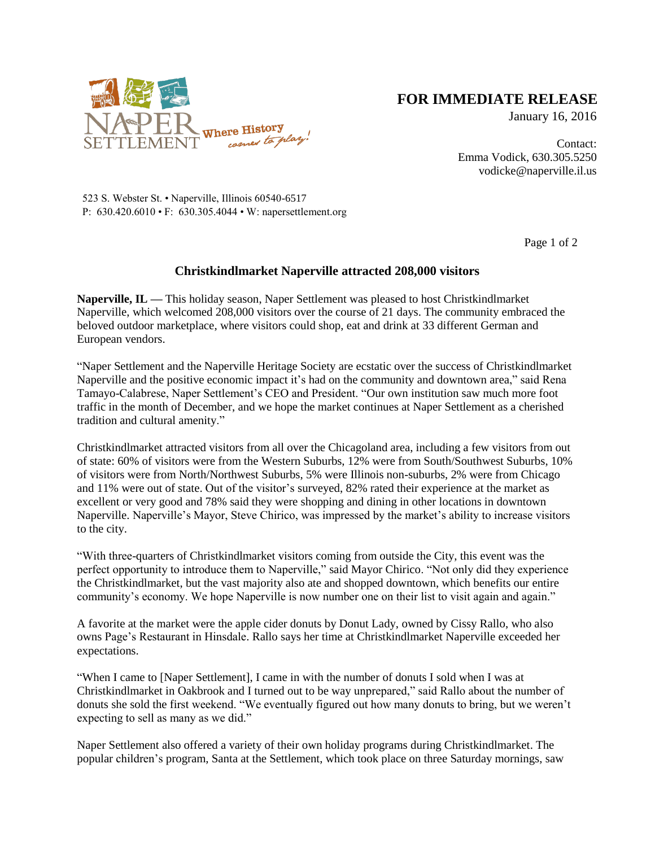

## **FOR IMMEDIATE RELEASE**

January 16, 2016

Page 1 of 2

Contact: Emma Vodick, 630.305.5250 vodicke@naperville.il.us

523 S. Webster St. • Naperville, Illinois 60540-6517 P: 630.420.6010 • F: 630.305.4044 • W: napersettlement.org

## **Christkindlmarket Naperville attracted 208,000 visitors**

**Naperville, IL —** This holiday season, Naper Settlement was pleased to host Christkindlmarket Naperville, which welcomed 208,000 visitors over the course of 21 days. The community embraced the beloved outdoor marketplace, where visitors could shop, eat and drink at 33 different German and European vendors.

"Naper Settlement and the Naperville Heritage Society are ecstatic over the success of Christkindlmarket Naperville and the positive economic impact it's had on the community and downtown area," said Rena Tamayo-Calabrese, Naper Settlement's CEO and President. "Our own institution saw much more foot traffic in the month of December, and we hope the market continues at Naper Settlement as a cherished tradition and cultural amenity."

Christkindlmarket attracted visitors from all over the Chicagoland area, including a few visitors from out of state: 60% of visitors were from the Western Suburbs, 12% were from South/Southwest Suburbs, 10% of visitors were from North/Northwest Suburbs, 5% were Illinois non-suburbs, 2% were from Chicago and 11% were out of state. Out of the visitor's surveyed, 82% rated their experience at the market as excellent or very good and 78% said they were shopping and dining in other locations in downtown Naperville. Naperville's Mayor, Steve Chirico, was impressed by the market's ability to increase visitors to the city.

"With three-quarters of Christkindlmarket visitors coming from outside the City, this event was the perfect opportunity to introduce them to Naperville," said Mayor Chirico. "Not only did they experience the Christkindlmarket, but the vast majority also ate and shopped downtown, which benefits our entire community's economy. We hope Naperville is now number one on their list to visit again and again."

A favorite at the market were the apple cider donuts by Donut Lady, owned by Cissy Rallo, who also owns Page's Restaurant in Hinsdale. Rallo says her time at Christkindlmarket Naperville exceeded her expectations.

"When I came to [Naper Settlement], I came in with the number of donuts I sold when I was at Christkindlmarket in Oakbrook and I turned out to be way unprepared," said Rallo about the number of donuts she sold the first weekend. "We eventually figured out how many donuts to bring, but we weren't expecting to sell as many as we did."

Naper Settlement also offered a variety of their own holiday programs during Christkindlmarket. The popular children's program, Santa at the Settlement, which took place on three Saturday mornings, saw